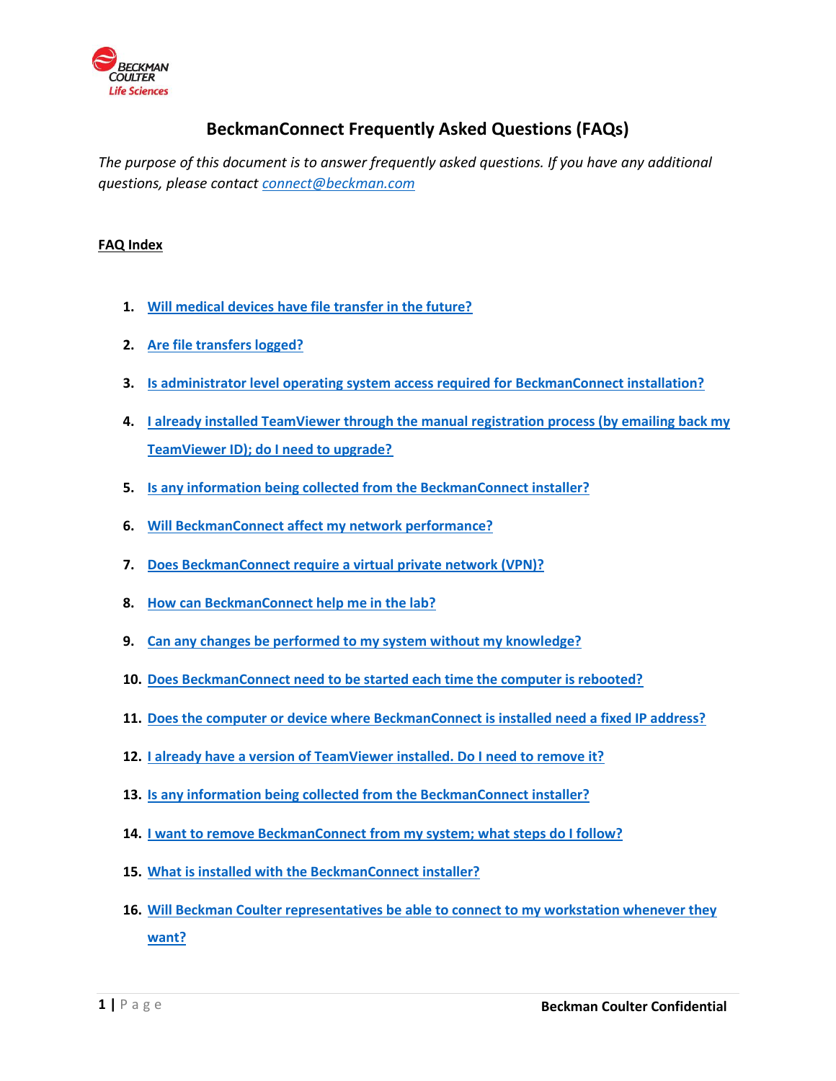

# **BeckmanConnect Frequently Asked Questions (FAQs)**

*The purpose of this document is to answer frequently asked questions. If you have any additional questions, please contact [connect@beckman.com](mailto:connect@beckman.com)*

### **FAQ Index**

- **1. [Will medical devices have file transfer in the future?](#page-2-0)**
- **2. [Are file transfers logged?](#page-2-1)**
- **3. [Is administrator level operating system access required for BeckmanConnect installation?](#page-2-2)**
- **4. [I already installed TeamViewer through the manual registration process \(by emailing back my](#page-2-3)  [TeamViewer ID\); do I need to upgrade?](#page-2-3)**
- **5. [Is any information being collected from the BeckmanConnect installer?](#page-2-4)**
- **6. [Will BeckmanConnect affect my network performance?](#page-2-5)**
- **7. [Does BeckmanConnect require a virtual private network \(VPN\)?](#page-2-6)**
- **8. [How can BeckmanConnect help me in the lab?](#page-3-0)**
- **9. [Can any changes be performed to my system without my knowledge?](#page-3-1)**
- **10. [Does BeckmanConnect need to be started each time the computer is rebooted?](#page-3-2)**
- **11. [Does the computer or device where BeckmanConnect is installed need a fixed IP address?](#page-3-3)**
- **12. [I already have a version of TeamViewer installed. Do I need to remove it?](#page-3-4)**
- **13. [Is any information being collected from the BeckmanConnect installer?](#page-4-0)**
- **14. I want to remove BeckmanConnect [from my system; what steps do I follow?](#page-4-1)**
- **15. [What is installed with the BeckmanConnect installer?](#page-4-2)**
- **16. [Will Beckman Coulter representatives be able to connect to my workstation whenever they](#page-4-3)  [want?](#page-4-3)**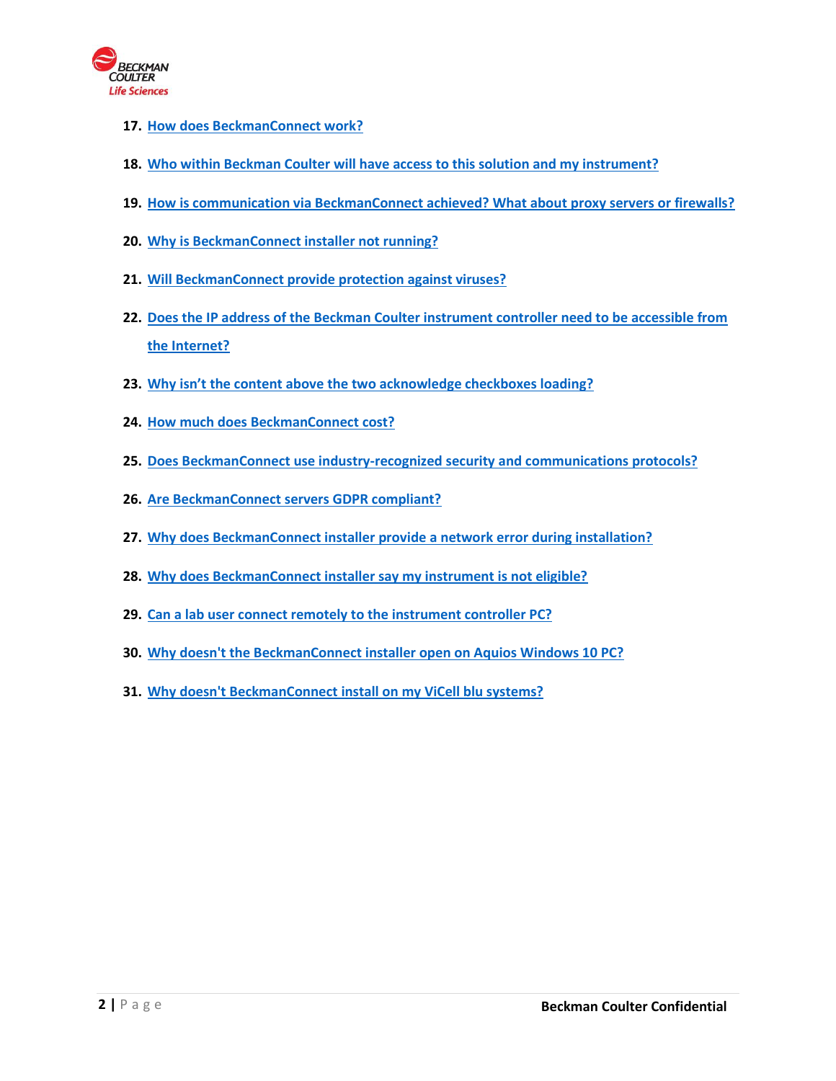

- **17. [How does BeckmanConnect work?](#page-4-4)**
- **18. [Who within Beckman Coulter will have access to this solution and my instrument?](#page-5-0)**
- **19. [How is communication via BeckmanConnect achieved? What about proxy servers or firewalls?](#page-5-1)**
- **20. [Why is BeckmanConnect installer not running?](#page-5-2)**
- **21. [Will BeckmanConnect provide protection against viruses?](#page-5-3)**
- **22. [Does the IP address of the Beckman Coulter instrument controller need to be accessible from](#page-5-4)  [the Internet?](#page-5-4)**
- **23. [Why isn't the content above the two acknowledge checkboxes loading?](#page-6-0)**
- **24. [How much does BeckmanConnect cost?](#page-6-1)**
- **25. [Does BeckmanConnect use industry-recognized security and communications protocols?](#page-6-2)**
- **26. [Are BeckmanConnect servers GDPR compliant?](#page-6-3)**
- **27. [Why does BeckmanConnect installer provide a network error during installation?](#page-6-4)**
- **28. [Why does BeckmanConnect installer say my instrument is not eligible?](#page-6-5)**
- **29. [Can a lab user connect remotely to the instrument controller PC?](#page-7-0)**
- **30. [Why doesn't the BeckmanConnect installer open on Aquios Windows 10 PC?](#page-7-1)**
- **31. [Why doesn't BeckmanConnect install on my ViCell blu systems?](#page-7-2)**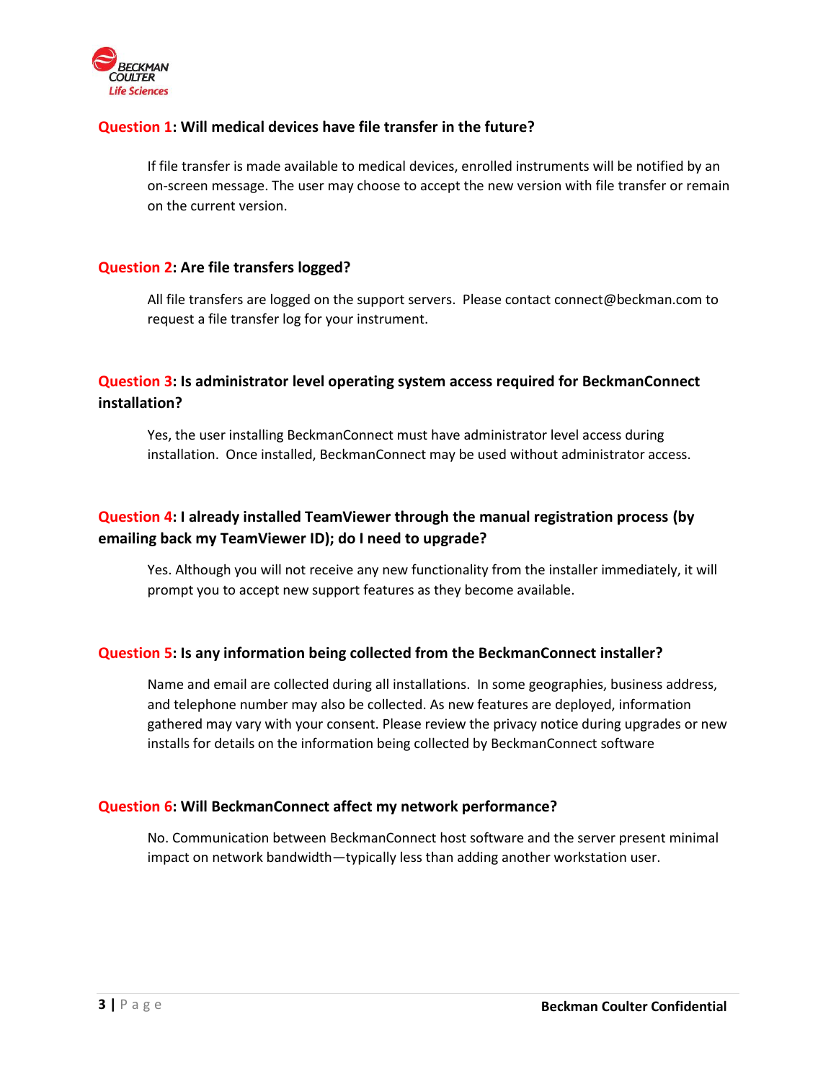<span id="page-2-6"></span>

### <span id="page-2-0"></span>**Question 1: Will medical devices have file transfer in the future?**

If file transfer is made available to medical devices, enrolled instruments will be notified by an on-screen message. The user may choose to accept the new version with file transfer or remain on the current version.

### <span id="page-2-1"></span>**Question 2: Are file transfers logged?**

All file transfers are logged on the support servers. Please contact connect@beckman.com to request a file transfer log for your instrument.

# <span id="page-2-2"></span>**Question 3: Is administrator level operating system access required for BeckmanConnect installation?**

Yes, the user installing BeckmanConnect must have administrator level access during installation. Once installed, BeckmanConnect may be used without administrator access.

# <span id="page-2-3"></span>**Question 4: I already installed TeamViewer through the manual registration process (by emailing back my TeamViewer ID); do I need to upgrade?**

Yes. Although you will not receive any new functionality from the installer immediately, it will prompt you to accept new support features as they become available.

### <span id="page-2-4"></span>**Question 5: Is any information being collected from the BeckmanConnect installer?**

Name and email are collected during all installations. In some geographies, business address, and telephone number may also be collected. As new features are deployed, information gathered may vary with your consent. Please review the privacy notice during upgrades or new installs for details on the information being collected by BeckmanConnect software

#### <span id="page-2-5"></span>**Question 6: Will BeckmanConnect affect my network performance?**

No. Communication between BeckmanConnect host software and the server present minimal impact on network bandwidth—typically less than adding another workstation user.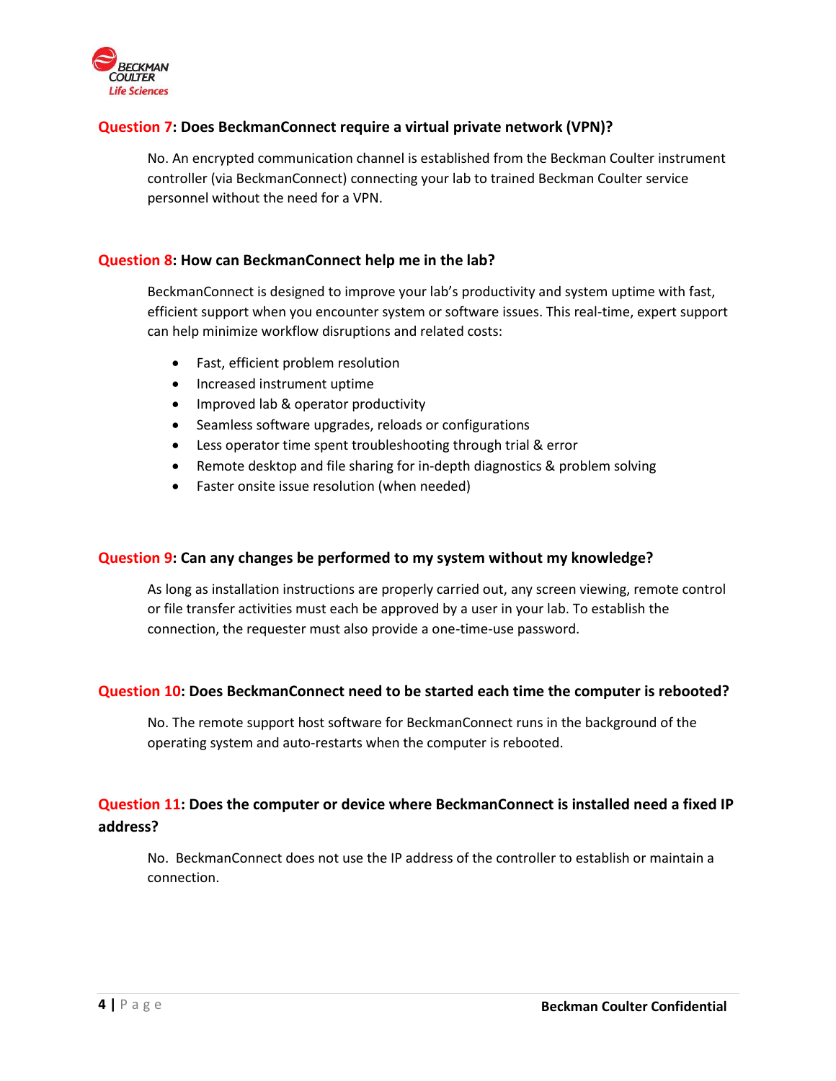<span id="page-3-4"></span>

## **Question 7: Does BeckmanConnect require a virtual private network (VPN)?**

No. An encrypted communication channel is established from the Beckman Coulter instrument controller (via BeckmanConnect) connecting your lab to trained Beckman Coulter service personnel without the need for a VPN.

#### <span id="page-3-0"></span>**Question 8: How can BeckmanConnect help me in the lab?**

BeckmanConnect is designed to improve your lab's productivity and system uptime with fast, efficient support when you encounter system or software issues. This real-time, expert support can help minimize workflow disruptions and related costs:

- Fast, efficient problem resolution
- Increased instrument uptime
- Improved lab & operator productivity
- Seamless software upgrades, reloads or configurations
- Less operator time spent troubleshooting through trial & error
- Remote desktop and file sharing for in-depth diagnostics & problem solving
- Faster onsite issue resolution (when needed)

#### <span id="page-3-1"></span>**Question 9: Can any changes be performed to my system without my knowledge?**

As long as installation instructions are properly carried out, any screen viewing, remote control or file transfer activities must each be approved by a user in your lab. To establish the connection, the requester must also provide a one-time-use password.

### <span id="page-3-2"></span>**Question 10: Does BeckmanConnect need to be started each time the computer is rebooted?**

No. The remote support host software for BeckmanConnect runs in the background of the operating system and auto-restarts when the computer is rebooted.

# <span id="page-3-3"></span>**Question 11: Does the computer or device where BeckmanConnect is installed need a fixed IP address?**

No. BeckmanConnect does not use the IP address of the controller to establish or maintain a connection.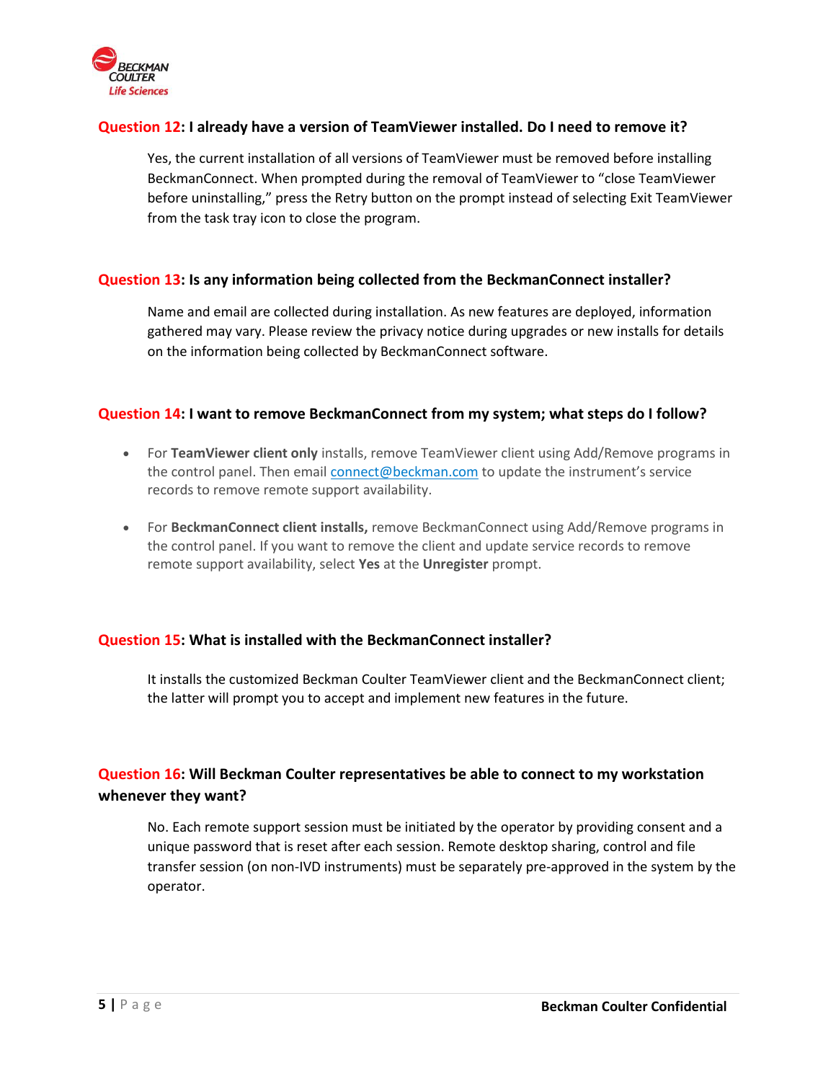<span id="page-4-4"></span>

### **Question 12: I already have a version of TeamViewer installed. Do I need to remove it?**

Yes, the current installation of all versions of TeamViewer must be removed before installing BeckmanConnect. When prompted during the removal of TeamViewer to "close TeamViewer before uninstalling," press the Retry button on the prompt instead of selecting Exit TeamViewer from the task tray icon to close the program.

### <span id="page-4-0"></span>**Question 13: Is any information being collected from the BeckmanConnect installer?**

Name and email are collected during installation. As new features are deployed, information gathered may vary. Please review the privacy notice during upgrades or new installs for details on the information being collected by BeckmanConnect software.

### <span id="page-4-1"></span>**Question 14: I want to remove BeckmanConnect from my system; what steps do I follow?**

- For **TeamViewer client only** installs, remove TeamViewer client using Add/Remove programs in the control panel. Then email **[connect@beckman.com](mailto:connect@beckman.com)** to update the instrument's service records to remove remote support availability.
- For **BeckmanConnect client installs,** remove BeckmanConnect using Add/Remove programs in the control panel. If you want to remove the client and update service records to remove remote support availability, select **Yes** at the **Unregister** prompt.

#### <span id="page-4-2"></span>**Question 15: What is installed with the BeckmanConnect installer?**

It installs the customized Beckman Coulter TeamViewer client and the BeckmanConnect client; the latter will prompt you to accept and implement new features in the future.

# <span id="page-4-3"></span>**Question 16: Will Beckman Coulter representatives be able to connect to my workstation whenever they want?**

No. Each remote support session must be initiated by the operator by providing consent and a unique password that is reset after each session. Remote desktop sharing, control and file transfer session (on non-IVD instruments) must be separately pre-approved in the system by the operator.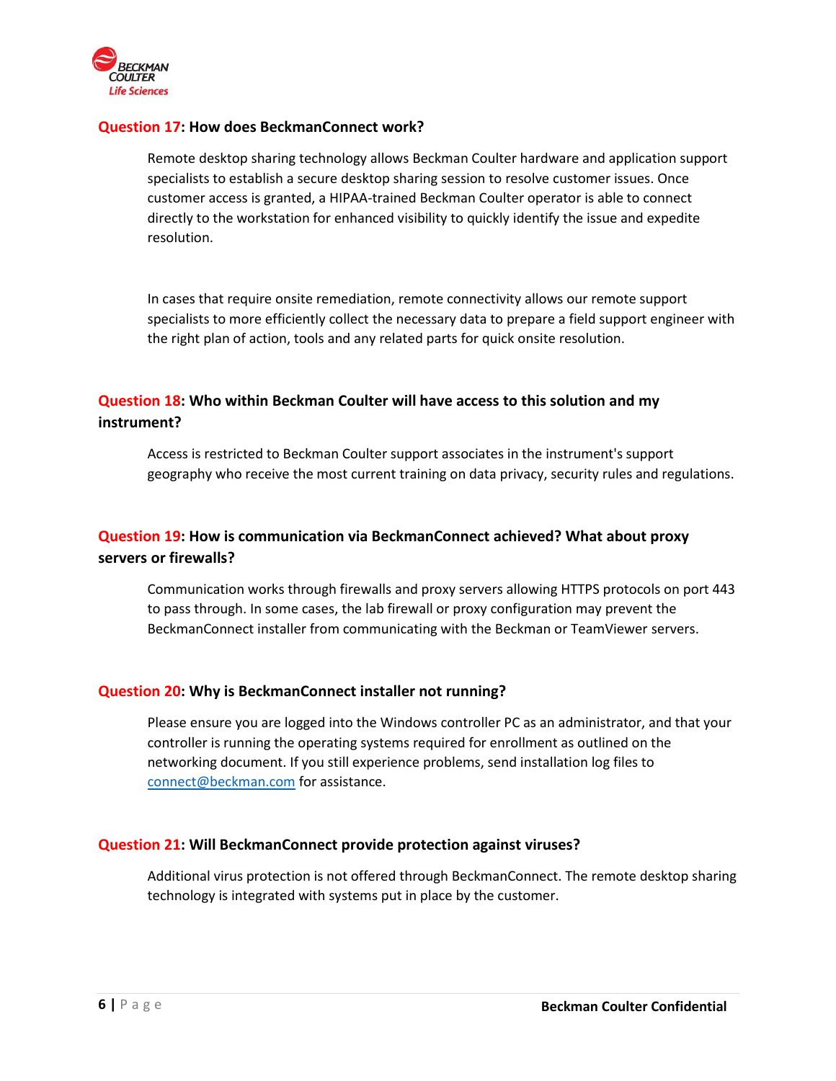<span id="page-5-4"></span>

### **Question 17: How does BeckmanConnect work?**

Remote desktop sharing technology allows Beckman Coulter hardware and application support specialists to establish a secure desktop sharing session to resolve customer issues. Once customer access is granted, a HIPAA-trained Beckman Coulter operator is able to connect directly to the workstation for enhanced visibility to quickly identify the issue and expedite resolution.

In cases that require onsite remediation, remote connectivity allows our remote support specialists to more efficiently collect the necessary data to prepare a field support engineer with the right plan of action, tools and any related parts for quick onsite resolution.

# <span id="page-5-0"></span>**Question 18: Who within Beckman Coulter will have access to this solution and my instrument?**

Access is restricted to Beckman Coulter support associates in the instrument's support geography who receive the most current training on data privacy, security rules and regulations.

# <span id="page-5-1"></span>**Question 19: How is communication via BeckmanConnect achieved? What about proxy servers or firewalls?**

Communication works through firewalls and proxy servers allowing HTTPS protocols on port 443 to pass through. In some cases, the lab firewall or proxy configuration may prevent the BeckmanConnect installer from communicating with the Beckman or TeamViewer servers.

#### <span id="page-5-2"></span>**Question 20: Why is BeckmanConnect installer not running?**

Please ensure you are logged into the Windows controller PC as an administrator, and that your controller is running the operating systems required for enrollment as outlined on the networking document. If you still experience problems, send installation log files to [connect@beckman.com](mailto:connect@beckman.com) for assistance.

#### <span id="page-5-3"></span>**Question 21: Will BeckmanConnect provide protection against viruses?**

Additional virus protection is not offered through BeckmanConnect. The remote desktop sharing technology is integrated with systems put in place by the customer.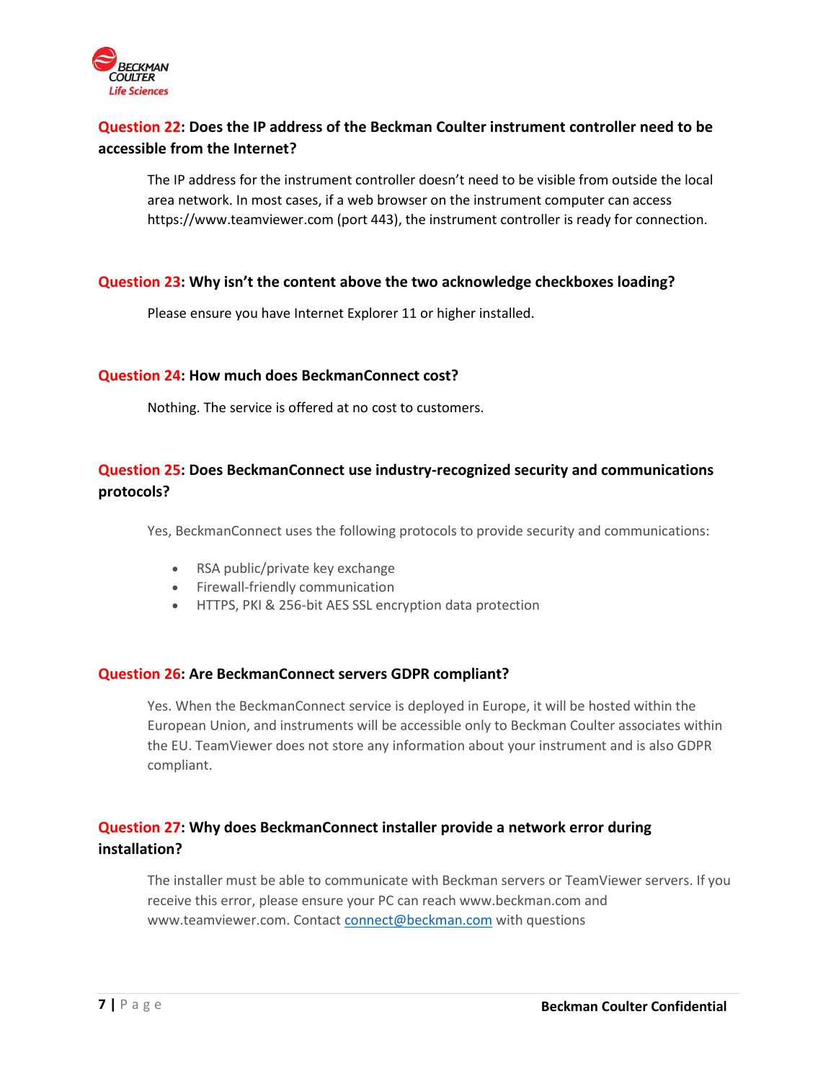<span id="page-6-5"></span>

# **Question 22: Does the IP address of the Beckman Coulter instrument controller need to be accessible from the Internet?**

The IP address for the instrument controller doesn't need to be visible from outside the local area network. In most cases, if a web browser on the instrument computer can access https://www.teamviewer.com (port 443), the instrument controller is ready for connection.

### <span id="page-6-0"></span>**Question 23: Why isn't the content above the two acknowledge checkboxes loading?**

Please ensure you have Internet Explorer 11 or higher installed.

#### <span id="page-6-1"></span>**Question 24: How much does BeckmanConnect cost?**

Nothing. The service is offered at no cost to customers.

# <span id="page-6-2"></span>**Question 25: Does BeckmanConnect use industry-recognized security and communications protocols?**

Yes, BeckmanConnect uses the following protocols to provide security and communications:

- RSA public/private key exchange
- Firewall-friendly communication
- HTTPS, PKI & 256-bit AES SSL encryption data protection

#### <span id="page-6-3"></span>**Question 26: Are BeckmanConnect servers GDPR compliant?**

Yes. When the BeckmanConnect service is deployed in Europe, it will be hosted within the European Union, and instruments will be accessible only to Beckman Coulter associates within the EU. TeamViewer does not store any information about your instrument and is also GDPR compliant.

# <span id="page-6-4"></span>**Question 27: Why does BeckmanConnect installer provide a network error during installation?**

The installer must be able to communicate with Beckman servers or TeamViewer servers. If you receive this error, please ensure your PC can reach www.beckman.com and www.teamviewer.com. Contact [connect@beckman.com](mailto:connect@beckman.com) with questions